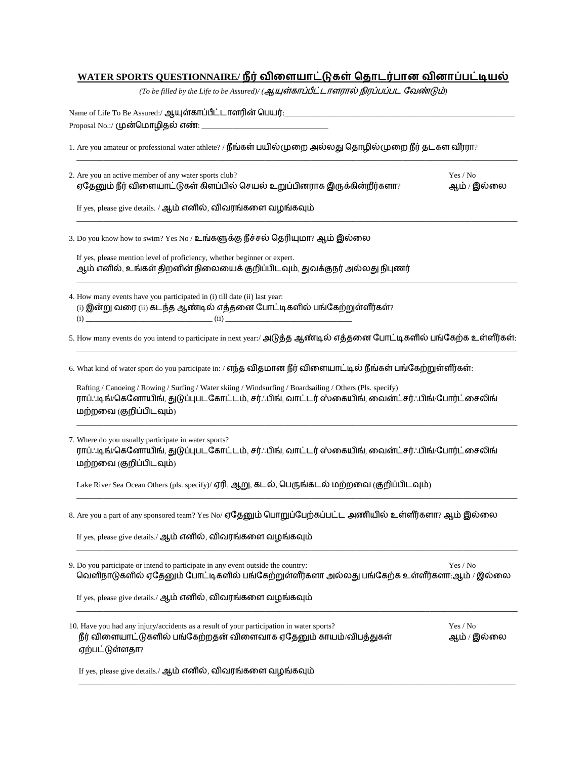## **WATER SPORTS QUESTIONNAIRE/**

(To be filled by the Life to be Assured)/ (ஆயுள்காப்பீட்டாளரால் நிரப்பப்பட வேண்டும்)

Name of Life To Be Assured:/ ஆயுள்காப்பீட்டாளரின் பெயர்:\_\_\_ Proposal No.:/ (முன்மொழிதல் எண்:

1. Are you amateur or professional water athlete? / நீங்கள் பயில்முறை அல்லது தொழில்முறை நீர் தடகள வீரரா?

| 2. Are you an active member of any water sports club?                     | Yes / No    |
|---------------------------------------------------------------------------|-------------|
| ் ஏதேனும் நீர் விளையாட்டுகள் கிளப்பில் செயல் உறுப்பினராக இருக்கின்றீர்களா | ஆம் / இல்லை |

\_\_\_\_\_\_\_\_\_\_\_\_\_\_\_\_\_\_\_\_\_\_\_\_\_\_\_\_\_\_\_\_\_\_\_\_\_\_\_\_\_\_\_\_\_\_\_\_\_\_\_\_\_\_\_\_\_\_\_\_\_\_\_\_\_\_\_\_\_\_\_\_\_\_\_\_\_\_\_\_\_\_\_\_\_\_\_\_\_\_\_\_\_\_\_\_\_\_\_\_\_\_\_\_\_\_\_\_\_\_\_\_\_\_\_

\_\_\_\_\_\_\_\_\_\_\_\_\_\_\_\_\_\_\_\_\_\_\_\_\_\_\_\_\_\_\_\_\_\_\_\_\_\_\_\_\_\_\_\_\_\_\_\_\_\_\_\_\_\_\_\_\_\_\_\_\_\_\_\_\_\_\_\_\_\_\_\_\_\_\_\_\_\_\_\_\_\_\_\_\_\_\_\_\_\_\_\_\_\_\_\_\_\_\_\_\_\_\_\_\_\_\_\_\_\_\_\_\_\_\_

\_\_\_\_\_\_\_\_\_\_\_\_\_\_\_\_\_\_\_\_\_\_\_\_\_\_\_\_\_\_\_\_\_\_\_\_\_\_\_\_\_\_\_\_\_\_\_\_\_\_\_\_\_\_\_\_\_\_\_\_\_\_\_\_\_\_\_\_\_\_\_\_\_\_\_\_\_\_\_\_\_\_\_\_\_\_\_\_\_\_\_\_\_\_\_\_\_\_\_\_\_\_\_\_\_\_\_\_\_\_\_\_\_\_\_

If yes, please give details. / ஆம் எனில், விவரங்களை வழங்கவும்

3. Do you know how to swim? Yes No / உங்களுக்கு நீச்சல் தெரியுமா? ஆம் இல்லை

If yes, please mention level of proficiency, whether beginner or expert. ஆம் எனில், உங்கள் திறனின் நிலையைக் குறிப்பிடவும், துவக்குநர் அல்லது நிபுணர்

4. How many events have you participated in (i) till date (ii) last year:  $(i)$  இன்று வரை  $(ii)$  கடந்த ஆண்டில் எத்தனை போட்டிகளில் பங்கேற்றுள்ளீர்கள்? (i) \_\_\_\_\_\_\_\_\_\_\_\_\_\_\_\_\_\_\_\_\_\_\_\_\_\_\_\_\_\_\_\_\_ (ii) \_\_\_\_\_\_\_\_\_\_\_\_\_\_\_\_\_\_\_\_\_\_\_\_\_\_\_\_\_\_\_\_\_

5. How many events do you intend to participate in next year:/ அடுத்த ஆண்டில் எத்தனை போட்டிகளில் பங்கேற்க உள்ளீர்கள்: \_\_\_\_\_\_\_\_\_\_\_\_\_\_\_\_\_\_\_\_\_\_\_\_\_\_\_\_\_\_\_\_\_\_\_\_\_\_\_\_\_\_\_\_\_\_\_\_\_\_\_\_\_\_\_\_\_\_\_\_\_\_\_\_\_\_\_\_\_\_\_\_\_\_\_\_\_\_\_\_\_\_\_\_\_\_\_\_\_\_\_\_\_\_\_\_\_\_\_\_\_\_\_\_\_\_\_\_\_\_\_\_\_\_\_

6. What kind of water sport do you participate in: / எந்த விதமான நீர் விளையாட்டில் நீங்கள் பங்கேற்றுள்ளீர்கள்:

Rafting / Canoeing / Rowing / Surfing / Water skiing / Windsurfing / Boardsailing / Others (Pls. specify) ராப்ஃடிங்/கெனோயிங், துடுப்புபடகோட்டம், சர்ஃபிங், வாட்டர் ஸ்கையிங், வைன்ட்சர்ஃபிங்/போர்ட்சைலிங் மற்றவை (குறிப்பிடவும்)

\_\_\_\_\_\_\_\_\_\_\_\_\_\_\_\_\_\_\_\_\_\_\_\_\_\_\_\_\_\_\_\_\_\_\_\_\_\_\_\_\_\_\_\_\_\_\_\_\_\_\_\_\_\_\_\_\_\_\_\_\_\_\_\_\_\_\_\_\_\_\_\_\_\_\_\_\_\_\_\_\_\_\_\_\_\_\_\_\_\_\_\_\_\_\_\_\_\_\_\_\_\_\_\_\_\_\_\_\_\_\_\_\_\_\_

\_\_\_\_\_\_\_\_\_\_\_\_\_\_\_\_\_\_\_\_\_\_\_\_\_\_\_\_\_\_\_\_\_\_\_\_\_\_\_\_\_\_\_\_\_\_\_\_\_\_\_\_\_\_\_\_\_\_\_\_\_\_\_\_\_\_\_\_\_\_\_\_\_\_\_\_\_\_\_\_\_\_\_\_\_\_\_\_\_\_\_\_\_\_\_\_\_\_\_\_\_\_\_\_\_\_\_\_\_\_\_\_\_\_\_

\_\_\_\_\_\_\_\_\_\_\_\_\_\_\_\_\_\_\_\_\_\_\_\_\_\_\_\_\_\_\_\_\_\_\_\_\_\_\_\_\_\_\_\_\_\_\_\_\_\_\_\_\_\_\_\_\_\_\_\_\_\_\_\_\_\_\_\_\_\_\_\_\_\_\_\_\_\_\_\_\_\_\_\_\_\_\_\_\_\_\_\_\_\_\_\_\_\_\_\_\_\_\_\_\_\_\_\_\_\_\_\_\_\_\_

\_\_\_\_\_\_\_\_\_\_\_\_\_\_\_\_\_\_\_\_\_\_\_\_\_\_\_\_\_\_\_\_\_\_\_\_\_\_\_\_\_\_\_\_\_\_\_\_\_\_\_\_\_\_\_\_\_\_\_\_\_\_\_\_\_\_\_\_\_\_\_\_\_\_\_\_\_\_\_\_\_\_\_\_\_\_\_\_\_\_\_\_\_\_\_\_\_\_\_\_\_\_\_\_\_\_\_\_\_\_\_\_\_\_\_

\_\_\_\_\_\_\_\_\_\_\_\_\_\_\_\_\_\_\_\_\_\_\_\_\_\_\_\_\_\_\_\_\_\_\_\_\_\_\_\_\_\_\_\_\_\_\_\_\_\_\_\_\_\_\_\_\_\_\_\_\_\_\_\_\_\_\_\_\_\_\_\_\_\_\_\_\_\_\_\_\_\_\_\_\_\_\_\_\_\_\_\_\_\_\_\_\_\_\_\_\_\_\_\_\_\_\_\_\_\_\_\_\_\_

| 7. Where do you usually participate in water sports?                                           |
|------------------------------------------------------------------------------------------------|
| ராப்ஃடிங்/கெனோயிங், துடுப்புபடகோட்டம், சர்ஃபிங், வாட்டர் ஸ்கையிங், வைன்ட்சர்ஃபிங்/போர்ட்சைலிங் |
| மற்றவை (குறிப்பிடவும்)                                                                         |

Lake River Sea Ocean Others (pls. specify)/ ஏரி, ஆறு, கடல், பெருங்கடல் மற்றவை (குறிப்பிடவும்)

8. Are you a part of any sponsored team? Yes No/ ஏதேனும் பொறுப்பேற்கப்பட்ட அணியில் உள்ளீர்களா? ஆம் இல்லை

If yes, please give details./ ஆம் எனில், விவரங்களை வழங்கவும்

| 9. Do you participate or intend to participate in any event outside the country:              | Yes / No |
|-----------------------------------------------------------------------------------------------|----------|
| ் வெளிநாடுகளில் ஏதேனும் போட்டிகளில் பங்கேற்றுள்ளீர்களா அல்லது பங்கேற்க உள்ளீர்களா ஆம் / இல்லை |          |

If yes, please give details./ ஆம் எனில், விவரங்களை வழங்கவும்

| 10. Have you had any injury/accidents as a result of your participation in water sports? | Yes / No    |
|------------------------------------------------------------------------------------------|-------------|
| நீர் விளையாட்டுகளில் பங்கேற்றதன் விளைவாக ஏதேனும் காயம்/விபத்துகள்                        | ஆம் / இல்லை |
| ஏற்பட்டுள்ளதா?                                                                           |             |

If yes, please give details./ ஆம் எனில், விவரங்களை வழங்கவும்